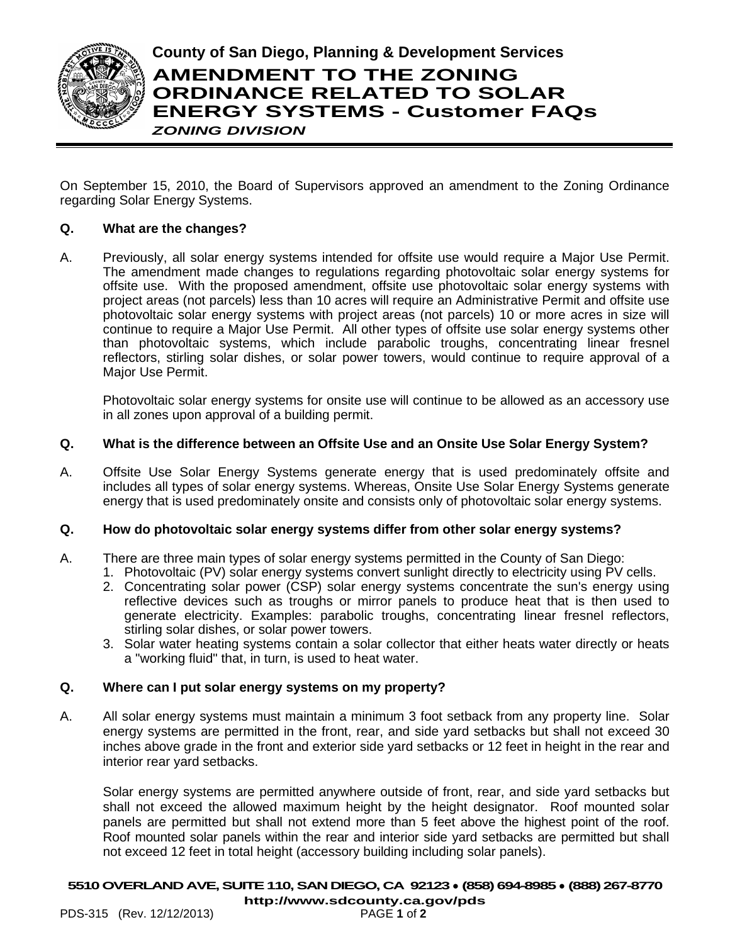

**County of San Diego, Planning & Development Services**

# **AMENDMENT TO THE ZONING ORDINANCE RELATED TO SOLAR ENERGY SYSTEMS - Customer FAQs** *ZONING DIVISION*

On September 15, 2010, the Board of Supervisors approved an amendment to the Zoning Ordinance regarding Solar Energy Systems.

# **Q. What are the changes?**

A. Previously, all solar energy systems intended for offsite use would require a Major Use Permit. The amendment made changes to regulations regarding photovoltaic solar energy systems for offsite use. With the proposed amendment, offsite use photovoltaic solar energy systems with project areas (not parcels) less than 10 acres will require an Administrative Permit and offsite use photovoltaic solar energy systems with project areas (not parcels) 10 or more acres in size will continue to require a Major Use Permit. All other types of offsite use solar energy systems other than photovoltaic systems, which include parabolic troughs, concentrating linear fresnel reflectors, stirling solar dishes, or solar power towers, would continue to require approval of a Major Use Permit.

Photovoltaic solar energy systems for onsite use will continue to be allowed as an accessory use in all zones upon approval of a building permit.

# **Q. What is the difference between an Offsite Use and an Onsite Use Solar Energy System?**

A. Offsite Use Solar Energy Systems generate energy that is used predominately offsite and includes all types of solar energy systems. Whereas, Onsite Use Solar Energy Systems generate energy that is used predominately onsite and consists only of photovoltaic solar energy systems.

# **Q. How do photovoltaic solar energy systems differ from other solar energy systems?**

- A. There are three main types of solar energy systems permitted in the County of San Diego:
	- 1. Photovoltaic (PV) solar energy systems convert sunlight directly to electricity using PV cells.
	- 2. Concentrating solar power (CSP) solar energy systems concentrate the sun's energy using reflective devices such as troughs or mirror panels to produce heat that is then used to generate electricity. Examples: parabolic troughs, concentrating linear fresnel reflectors, stirling solar dishes, or solar power towers.
	- 3. Solar water heating systems contain a solar collector that either heats water directly or heats a "working fluid" that, in turn, is used to heat water.

# **Q. Where can I put solar energy systems on my property?**

A. All solar energy systems must maintain a minimum 3 foot setback from any property line. Solar energy systems are permitted in the front, rear, and side yard setbacks but shall not exceed 30 inches above grade in the front and exterior side yard setbacks or 12 feet in height in the rear and interior rear yard setbacks.

Solar energy systems are permitted anywhere outside of front, rear, and side yard setbacks but shall not exceed the allowed maximum height by the height designator. Roof mounted solar panels are permitted but shall not extend more than 5 feet above the highest point of the roof. Roof mounted solar panels within the rear and interior side yard setbacks are permitted but shall not exceed 12 feet in total height (accessory building including solar panels).

### **5510OVERLAND AVE, SUITE 110, SAN DIEGO, CA 92123** ● **(858)694-8985** ● **(888) 267-8770**

PDS-315 (Rev. 12/12/2013)

**[http://www.sdcounty.ca.gov/pds](http://www.sdcpds.org/)**